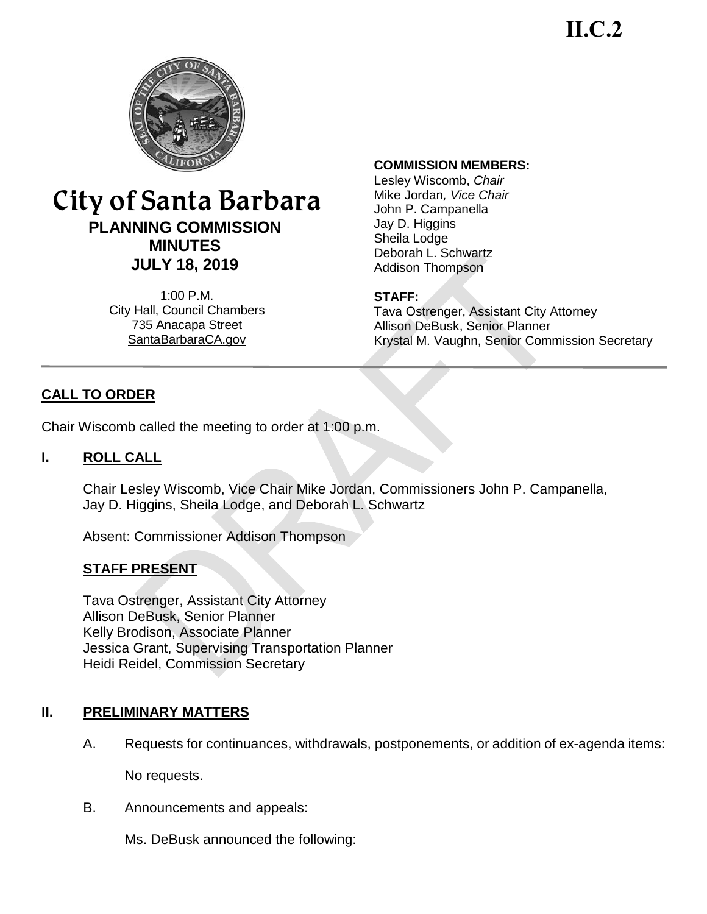**II.C.2**



# City of Santa Barbara **PLANNING COMMISSION MINUTES JULY 18, 2019**

1:00 P.M. City Hall, Council Chambers 735 Anacapa Street SantaBarbaraCA.gov

#### **COMMISSION MEMBERS:**

Lesley Wiscomb, *Chair* Mike Jordan*, Vice Chair* John P. Campanella Jay D. Higgins Sheila Lodge Deborah L. Schwartz Addison Thompson

#### **STAFF:**

Tava Ostrenger, Assistant City Attorney Allison DeBusk, Senior Planner Krystal M. Vaughn, Senior Commission Secretary

# **CALL TO ORDER**

Chair Wiscomb called the meeting to order at 1:00 p.m.

#### **I. ROLL CALL**

Chair Lesley Wiscomb, Vice Chair Mike Jordan, Commissioners John P. Campanella, Jay D. Higgins, Sheila Lodge, and Deborah L. Schwartz

Absent: Commissioner Addison Thompson

#### **STAFF PRESENT**

Tava Ostrenger, Assistant City Attorney Allison DeBusk, Senior Planner Kelly Brodison, Associate Planner Jessica Grant, Supervising Transportation Planner Heidi Reidel, Commission Secretary

#### **II. PRELIMINARY MATTERS**

A. Requests for continuances, withdrawals, postponements, or addition of ex-agenda items:

No requests.

B. Announcements and appeals:

Ms. DeBusk announced the following: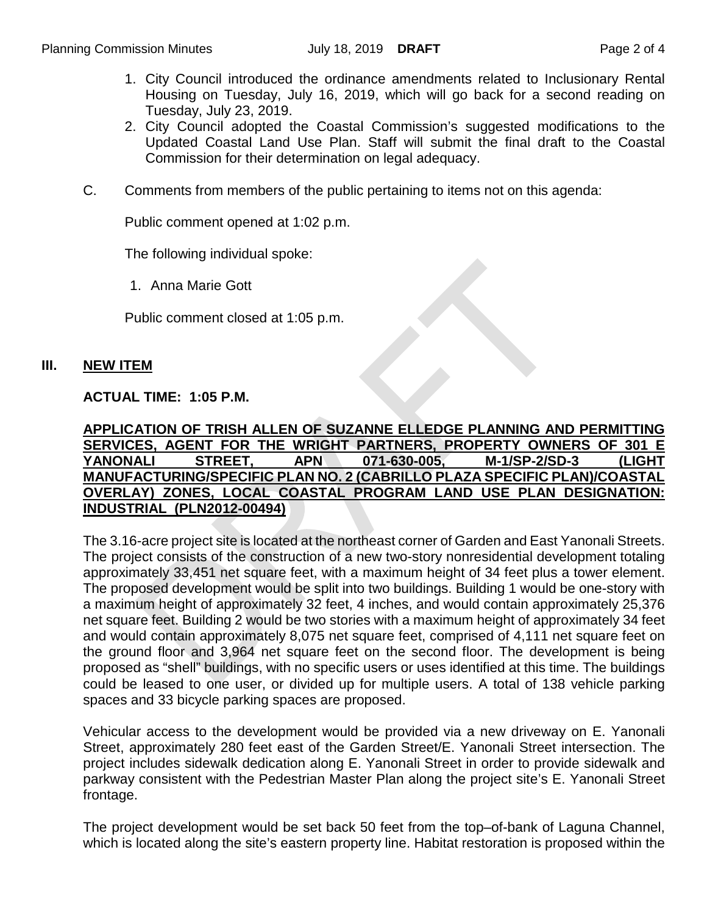- 1. City Council introduced the ordinance amendments related to Inclusionary Rental Housing on Tuesday, July 16, 2019, which will go back for a second reading on Tuesday, July 23, 2019.
- 2. City Council adopted the Coastal Commission's suggested modifications to the Updated Coastal Land Use Plan. Staff will submit the final draft to the Coastal Commission for their determination on legal adequacy.
- C. Comments from members of the public pertaining to items not on this agenda:

Public comment opened at 1:02 p.m.

The following individual spoke:

1. Anna Marie Gott

Public comment closed at 1:05 p.m.

#### **III. NEW ITEM**

#### **ACTUAL TIME: 1:05 P.M.**

#### **APPLICATION OF TRISH ALLEN OF SUZANNE ELLEDGE PLANNING AND PERMITTING SERVICES, AGENT FOR THE WRIGHT PARTNERS, PROPERTY OWNERS OF 301 E YANONALI STREET, APN 071-630-005, M-1/SP-2/SD-3 (LIGHT MANUFACTURING/SPECIFIC PLAN NO. 2 (CABRILLO PLAZA SPECIFIC PLAN)/COASTAL OVERLAY) ZONES, LOCAL COASTAL PROGRAM LAND USE PLAN DESIGNATION: INDUSTRIAL (PLN2012-00494)**

The 3.16-acre project site is located at the northeast corner of Garden and East Yanonali Streets. The project consists of the construction of a new two-story nonresidential development totaling approximately 33,451 net square feet, with a maximum height of 34 feet plus a tower element. The proposed development would be split into two buildings. Building 1 would be one-story with a maximum height of approximately 32 feet, 4 inches, and would contain approximately 25,376 net square feet. Building 2 would be two stories with a maximum height of approximately 34 feet and would contain approximately 8,075 net square feet, comprised of 4,111 net square feet on the ground floor and 3,964 net square feet on the second floor. The development is being proposed as "shell" buildings, with no specific users or uses identified at this time. The buildings could be leased to one user, or divided up for multiple users. A total of 138 vehicle parking spaces and 33 bicycle parking spaces are proposed.

Vehicular access to the development would be provided via a new driveway on E. Yanonali Street, approximately 280 feet east of the Garden Street/E. Yanonali Street intersection. The project includes sidewalk dedication along E. Yanonali Street in order to provide sidewalk and parkway consistent with the Pedestrian Master Plan along the project site's E. Yanonali Street frontage.

The project development would be set back 50 feet from the top–of-bank of Laguna Channel, which is located along the site's eastern property line. Habitat restoration is proposed within the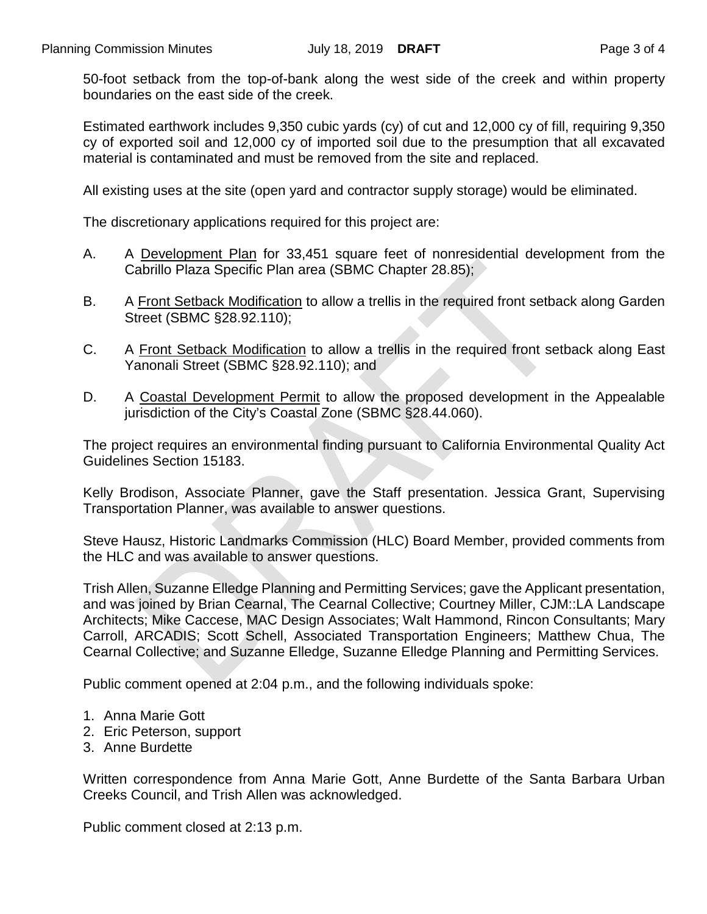50-foot setback from the top-of-bank along the west side of the creek and within property boundaries on the east side of the creek.

Estimated earthwork includes 9,350 cubic yards (cy) of cut and 12,000 cy of fill, requiring 9,350 cy of exported soil and 12,000 cy of imported soil due to the presumption that all excavated material is contaminated and must be removed from the site and replaced.

All existing uses at the site (open yard and contractor supply storage) would be eliminated.

The discretionary applications required for this project are:

- A. A Development Plan for 33,451 square feet of nonresidential development from the Cabrillo Plaza Specific Plan area (SBMC Chapter 28.85);
- B. A Front Setback Modification to allow a trellis in the required front setback along Garden Street (SBMC §28.92.110);
- C. A Front Setback Modification to allow a trellis in the required front setback along East Yanonali Street (SBMC §28.92.110); and
- D. A Coastal Development Permit to allow the proposed development in the Appealable jurisdiction of the City's Coastal Zone (SBMC §28.44.060).

The project requires an environmental finding pursuant to California Environmental Quality Act Guidelines Section 15183.

Kelly Brodison, Associate Planner, gave the Staff presentation. Jessica Grant, Supervising Transportation Planner, was available to answer questions.

Steve Hausz, Historic Landmarks Commission (HLC) Board Member, provided comments from the HLC and was available to answer questions.

Trish Allen, Suzanne Elledge Planning and Permitting Services; gave the Applicant presentation, and was joined by Brian Cearnal, The Cearnal Collective; Courtney Miller, CJM::LA Landscape Architects; Mike Caccese, MAC Design Associates; Walt Hammond, Rincon Consultants; Mary Carroll, ARCADIS; Scott Schell, Associated Transportation Engineers; Matthew Chua, The Cearnal Collective; and Suzanne Elledge, Suzanne Elledge Planning and Permitting Services.

Public comment opened at 2:04 p.m., and the following individuals spoke:

- 1. Anna Marie Gott
- 2. Eric Peterson, support
- 3. Anne Burdette

Written correspondence from Anna Marie Gott, Anne Burdette of the Santa Barbara Urban Creeks Council, and Trish Allen was acknowledged.

Public comment closed at 2:13 p.m.